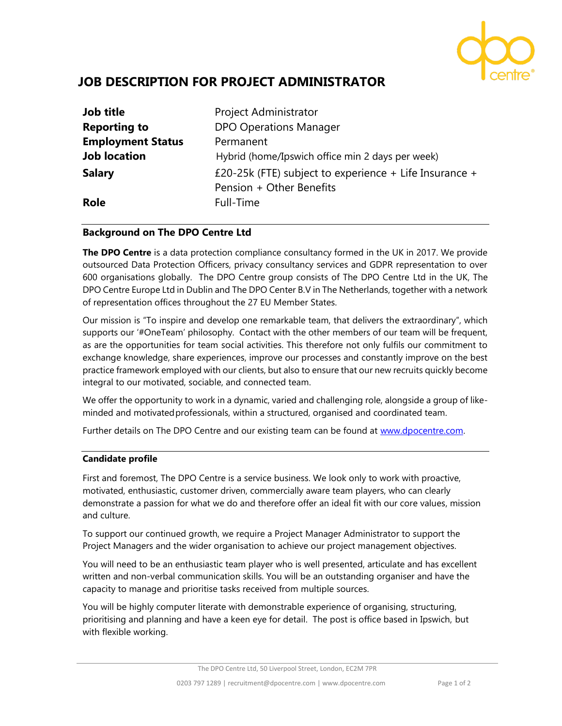

# **JOB DESCRIPTION FOR PROJECT ADMINISTRATOR**

| <b>Job title</b>         | Project Administrator                                  |
|--------------------------|--------------------------------------------------------|
| <b>Reporting to</b>      | <b>DPO Operations Manager</b>                          |
| <b>Employment Status</b> | Permanent                                              |
| <b>Job location</b>      | Hybrid (home/Ipswich office min 2 days per week)       |
| <b>Salary</b>            | £20-25k (FTE) subject to experience + Life Insurance + |
|                          | Pension + Other Benefits                               |
| <b>Role</b>              | Full-Time                                              |

## **Background on The DPO Centre Ltd**

**The DPO Centre** is a data protection compliance consultancy formed in the UK in 2017. We provide outsourced Data Protection Officers, privacy consultancy services and GDPR representation to over 600 organisations globally. The DPO Centre group consists of The DPO Centre Ltd in the UK, The DPO Centre Europe Ltd in Dublin and The DPO Center B.V in The Netherlands, together with a network of representation offices throughout the 27 EU Member States.

Our mission is "To inspire and develop one remarkable team, that delivers the extraordinary", which supports our '#OneTeam' philosophy. Contact with the other members of our team will be frequent, as are the opportunities for team social activities. This therefore not only fulfils our commitment to exchange knowledge, share experiences, improve our processes and constantly improve on the best practice framework employed with our clients, but also to ensure that our new recruits quickly become integral to our motivated, sociable, and connected team.

We offer the opportunity to work in a dynamic, varied and challenging role, alongside a group of likeminded and motivatedprofessionals, within a structured, organised and coordinated team.

Further details on The DPO Centre and our existing team can be found at [www.dpocentre.com.](http://www.dpocentre.com/)

## **Candidate profile**

First and foremost, The DPO Centre is a service business. We look only to work with proactive, motivated, enthusiastic, customer driven, commercially aware team players, who can clearly demonstrate a passion for what we do and therefore offer an ideal fit with our core values, mission and culture.

To support our continued growth, we require a Project Manager Administrator to support the Project Managers and the wider organisation to achieve our project management objectives.

You will need to be an enthusiastic team player who is well presented, articulate and has excellent written and non-verbal communication skills. You will be an outstanding organiser and have the capacity to manage and prioritise tasks received from multiple sources.

You will be highly computer literate with demonstrable experience of organising, structuring, prioritising and planning and have a keen eye for detail. The post is office based in Ipswich, but with flexible working.